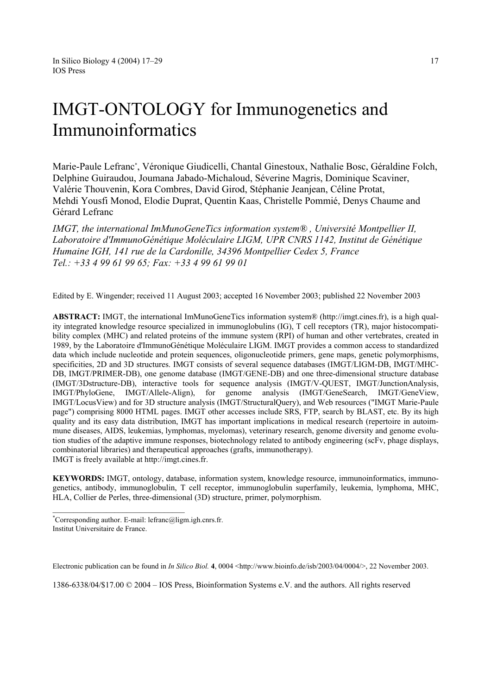# IMGT-ONTOLOGY for Immunogenetics and Immunoinformatics

Marie-Paule Lefranc\* , Véronique Giudicelli, Chantal Ginestoux, Nathalie Bosc, Géraldine Folch, Delphine Guiraudou, Joumana Jabado-Michaloud, Séverine Magris, Dominique Scaviner, Valérie Thouvenin, Kora Combres, David Girod, Stéphanie Jeanjean, Céline Protat, Mehdi Yousfi Monod, Elodie Duprat, Quentin Kaas, Christelle Pommié, Denys Chaume and Gérard Lefranc

*IMGT, the international ImMunoGeneTics information system® , Université Montpellier II, Laboratoire d'ImmunoGénétique Moléculaire LIGM, UPR CNRS 1142, Institut de Génétique Humaine IGH, 141 rue de la Cardonille, 34396 Montpellier Cedex 5, France Tel.: +33 4 99 61 99 65; Fax: +33 4 99 61 99 01* 

Edited by E. Wingender; received 11 August 2003; accepted 16 November 2003; published 22 November 2003

**ABSTRACT:** IMGT, the international ImMunoGeneTics information system® (http://imgt.cines.fr), is a high quality integrated knowledge resource specialized in immunoglobulins (IG), T cell receptors (TR), major histocompatibility complex (MHC) and related proteins of the immune system (RPI) of human and other vertebrates, created in 1989, by the Laboratoire d'ImmunoGénétique Moléculaire LIGM. IMGT provides a common access to standardized data which include nucleotide and protein sequences, oligonucleotide primers, gene maps, genetic polymorphisms, specificities, 2D and 3D structures. IMGT consists of several sequence databases (IMGT/LIGM-DB, IMGT/MHC-DB, IMGT/PRIMER-DB), one genome database (IMGT/GENE-DB) and one three-dimensional structure database (IMGT/3Dstructure-DB), interactive tools for sequence analysis (IMGT/V-QUEST, IMGT/JunctionAnalysis, IMGT/PhyloGene, IMGT/Allele-Align), for genome analysis (IMGT/GeneSearch, IMGT/GeneView, IMGT/LocusView) and for 3D structure analysis (IMGT/StructuralQuery), and Web resources ("IMGT Marie-Paule page") comprising 8000 HTML pages. IMGT other accesses include SRS, FTP, search by BLAST, etc. By its high quality and its easy data distribution, IMGT has important implications in medical research (repertoire in autoimmune diseases, AIDS, leukemias, lymphomas, myelomas), veterinary research, genome diversity and genome evolution studies of the adaptive immune responses, biotechnology related to antibody engineering (scFv, phage displays, combinatorial libraries) and therapeutical approaches (grafts, immunotherapy). IMGT is freely available at http://imgt.cines.fr.

**KEYWORDS:** IMGT, ontology, database, information system, knowledge resource, immunoinformatics, immunogenetics, antibody, immunoglobulin, T cell receptor, immunoglobulin superfamily, leukemia, lymphoma, MHC, HLA, Collier de Perles, three-dimensional (3D) structure, primer, polymorphism.

 $\mathcal{L}_\text{max}$  , and the set of the set of the set of the set of the set of the set of the set of the set of the set of the set of the set of the set of the set of the set of the set of the set of the set of the set of the

Electronic publication can be found in *In Silico Biol.* **4**, 0004 <http://www.bioinfo.de/isb/2003/04/0004/>, 22 November 2003.

1386-6338/04/\$17.00 © 2004 – IOS Press, Bioinformation Systems e.V. and the authors. All rights reserved

<sup>\*</sup> Corresponding author. E-mail: lefranc@ligm.igh.cnrs.fr.

Institut Universitaire de France.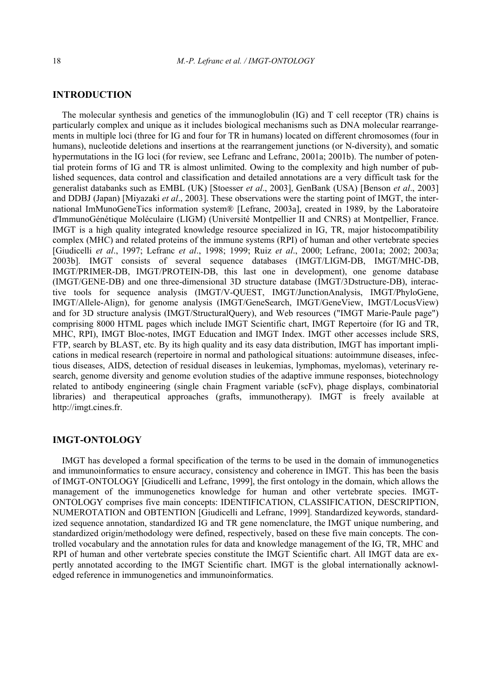## **INTRODUCTION**

The molecular synthesis and genetics of the immunoglobulin (IG) and T cell receptor (TR) chains is particularly complex and unique as it includes biological mechanisms such as DNA molecular rearrangements in multiple loci (three for IG and four for TR in humans) located on different chromosomes (four in humans), nucleotide deletions and insertions at the rearrangement junctions (or N-diversity), and somatic hypermutations in the IG loci (for review, see Lefranc and Lefranc, 2001a; 2001b). The number of potential protein forms of IG and TR is almost unlimited. Owing to the complexity and high number of published sequences, data control and classification and detailed annotations are a very difficult task for the generalist databanks such as EMBL (UK) [Stoesser *et al*., 2003], GenBank (USA) [Benson *et al*., 2003] and DDBJ (Japan) [Miyazaki *et al*., 2003]. These observations were the starting point of IMGT, the international ImMunoGeneTics information system® [Lefranc, 2003a], created in 1989, by the Laboratoire d'ImmunoGénétique Moléculaire (LIGM) (Université Montpellier II and CNRS) at Montpellier, France. IMGT is a high quality integrated knowledge resource specialized in IG, TR, major histocompatibility complex (MHC) and related proteins of the immune systems (RPI) of human and other vertebrate species [Giudicelli *et al*., 1997; Lefranc *et al*., 1998; 1999; Ruiz *et al*., 2000; Lefranc, 2001a; 2002; 2003a; 2003b]. IMGT consists of several sequence databases (IMGT/LIGM-DB, IMGT/MHC-DB, IMGT/PRIMER-DB, IMGT/PROTEIN-DB, this last one in development), one genome database (IMGT/GENE-DB) and one three-dimensional 3D structure database (IMGT/3Dstructure-DB), interactive tools for sequence analysis (IMGT/V-QUEST, IMGT/JunctionAnalysis, IMGT/PhyloGene, IMGT/Allele-Align), for genome analysis (IMGT/GeneSearch, IMGT/GeneView, IMGT/LocusView) and for 3D structure analysis (IMGT/StructuralQuery), and Web resources ("IMGT Marie-Paule page") comprising 8000 HTML pages which include IMGT Scientific chart, IMGT Repertoire (for IG and TR, MHC, RPI), IMGT Bloc-notes, IMGT Education and IMGT Index. IMGT other accesses include SRS, FTP, search by BLAST, etc. By its high quality and its easy data distribution, IMGT has important implications in medical research (repertoire in normal and pathological situations: autoimmune diseases, infectious diseases, AIDS, detection of residual diseases in leukemias, lymphomas, myelomas), veterinary research, genome diversity and genome evolution studies of the adaptive immune responses, biotechnology related to antibody engineering (single chain Fragment variable (scFv), phage displays, combinatorial libraries) and therapeutical approaches (grafts, immunotherapy). IMGT is freely available at http://imgt.cines.fr.

# **IMGT-ONTOLOGY**

IMGT has developed a formal specification of the terms to be used in the domain of immunogenetics and immunoinformatics to ensure accuracy, consistency and coherence in IMGT. This has been the basis of IMGT-ONTOLOGY [Giudicelli and Lefranc, 1999], the first ontology in the domain, which allows the management of the immunogenetics knowledge for human and other vertebrate species. IMGT-ONTOLOGY comprises five main concepts: IDENTIFICATION, CLASSIFICATION, DESCRIPTION, NUMEROTATION and OBTENTION [Giudicelli and Lefranc, 1999]. Standardized keywords, standardized sequence annotation, standardized IG and TR gene nomenclature, the IMGT unique numbering, and standardized origin/methodology were defined, respectively, based on these five main concepts. The controlled vocabulary and the annotation rules for data and knowledge management of the IG, TR, MHC and RPI of human and other vertebrate species constitute the IMGT Scientific chart. All IMGT data are expertly annotated according to the IMGT Scientific chart. IMGT is the global internationally acknowledged reference in immunogenetics and immunoinformatics.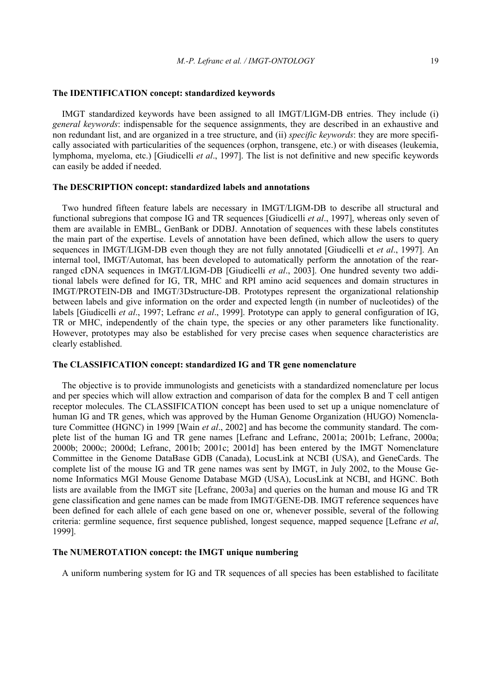## **The IDENTIFICATION concept: standardized keywords**

IMGT standardized keywords have been assigned to all IMGT/LIGM-DB entries. They include (i) *general keywords*: indispensable for the sequence assignments, they are described in an exhaustive and non redundant list, and are organized in a tree structure, and (ii) *specific keywords*: they are more specifically associated with particularities of the sequences (orphon, transgene, etc.) or with diseases (leukemia, lymphoma, myeloma, etc.) [Giudicelli *et al*., 1997]. The list is not definitive and new specific keywords can easily be added if needed.

## **The DESCRIPTION concept: standardized labels and annotations**

Two hundred fifteen feature labels are necessary in IMGT/LIGM-DB to describe all structural and functional subregions that compose IG and TR sequences [Giudicelli *et al*., 1997], whereas only seven of them are available in EMBL, GenBank or DDBJ. Annotation of sequences with these labels constitutes the main part of the expertise. Levels of annotation have been defined, which allow the users to query sequences in IMGT/LIGM-DB even though they are not fully annotated [Giudicelli et *et al*., 1997]. An internal tool, IMGT/Automat, has been developed to automatically perform the annotation of the rearranged cDNA sequences in IMGT/LIGM-DB [Giudicelli *et al*., 2003]. One hundred seventy two additional labels were defined for IG, TR, MHC and RPI amino acid sequences and domain structures in IMGT/PROTEIN-DB and IMGT/3Dstructure-DB. Prototypes represent the organizational relationship between labels and give information on the order and expected length (in number of nucleotides) of the labels [Giudicelli *et al*., 1997; Lefranc *et al*., 1999]. Prototype can apply to general configuration of IG, TR or MHC, independently of the chain type, the species or any other parameters like functionality. However, prototypes may also be established for very precise cases when sequence characteristics are clearly established.

#### **The CLASSIFICATION concept: standardized IG and TR gene nomenclature**

The objective is to provide immunologists and geneticists with a standardized nomenclature per locus and per species which will allow extraction and comparison of data for the complex B and T cell antigen receptor molecules. The CLASSIFICATION concept has been used to set up a unique nomenclature of human IG and TR genes, which was approved by the Human Genome Organization (HUGO) Nomenclature Committee (HGNC) in 1999 [Wain *et al*., 2002] and has become the community standard. The complete list of the human IG and TR gene names [Lefranc and Lefranc, 2001a; 2001b; Lefranc, 2000a; 2000b; 2000c; 2000d; Lefranc, 2001b; 2001c; 2001d] has been entered by the IMGT Nomenclature Committee in the Genome DataBase GDB (Canada), LocusLink at NCBI (USA), and GeneCards. The complete list of the mouse IG and TR gene names was sent by IMGT, in July 2002, to the Mouse Genome Informatics MGI Mouse Genome Database MGD (USA), LocusLink at NCBI, and HGNC. Both lists are available from the IMGT site [Lefranc, 2003a] and queries on the human and mouse IG and TR gene classification and gene names can be made from IMGT/GENE-DB. IMGT reference sequences have been defined for each allele of each gene based on one or, whenever possible, several of the following criteria: germline sequence, first sequence published, longest sequence, mapped sequence [Lefranc *et al*, 1999].

# **The NUMEROTATION concept: the IMGT unique numbering**

A uniform numbering system for IG and TR sequences of all species has been established to facilitate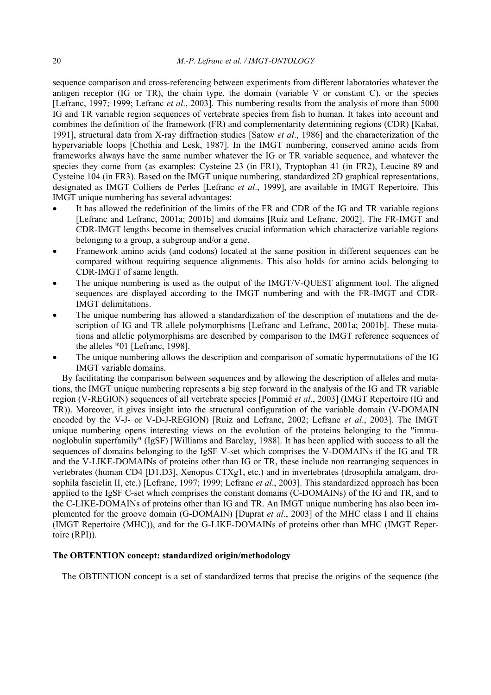sequence comparison and cross-referencing between experiments from different laboratories whatever the antigen receptor (IG or TR), the chain type, the domain (variable V or constant C), or the species [Lefranc, 1997; 1999; Lefranc *et al*., 2003]. This numbering results from the analysis of more than 5000 IG and TR variable region sequences of vertebrate species from fish to human. It takes into account and combines the definition of the framework (FR) and complementarity determining regions (CDR) [Kabat, 1991], structural data from X-ray diffraction studies [Satow *et al*., 1986] and the characterization of the hypervariable loops [Chothia and Lesk, 1987]. In the IMGT numbering, conserved amino acids from frameworks always have the same number whatever the IG or TR variable sequence, and whatever the species they come from (as examples: Cysteine 23 (in FR1), Tryptophan 41 (in FR2), Leucine 89 and Cysteine 104 (in FR3). Based on the IMGT unique numbering, standardized 2D graphical representations, designated as IMGT Colliers de Perles [Lefranc *et al*., 1999], are available in IMGT Repertoire. This IMGT unique numbering has several advantages:

- It has allowed the redefinition of the limits of the FR and CDR of the IG and TR variable regions [Lefranc and Lefranc, 2001a; 2001b] and domains [Ruiz and Lefranc, 2002]. The FR-IMGT and CDR-IMGT lengths become in themselves crucial information which characterize variable regions belonging to a group, a subgroup and/or a gene.
- Framework amino acids (and codons) located at the same position in different sequences can be compared without requiring sequence alignments. This also holds for amino acids belonging to CDR-IMGT of same length.
- The unique numbering is used as the output of the IMGT/V-QUEST alignment tool. The aligned sequences are displayed according to the IMGT numbering and with the FR-IMGT and CDR-IMGT delimitations.
- The unique numbering has allowed a standardization of the description of mutations and the description of IG and TR allele polymorphisms [Lefranc and Lefranc, 2001a; 2001b]. These mutations and allelic polymorphisms are described by comparison to the IMGT reference sequences of the alleles \*01 [Lefranc, 1998].
- The unique numbering allows the description and comparison of somatic hypermutations of the IG IMGT variable domains.

By facilitating the comparison between sequences and by allowing the description of alleles and mutations, the IMGT unique numbering represents a big step forward in the analysis of the IG and TR variable region (V-REGION) sequences of all vertebrate species [Pommié *et al*., 2003] (IMGT Repertoire (IG and TR)). Moreover, it gives insight into the structural configuration of the variable domain (V-DOMAIN encoded by the V-J- or V-D-J-REGION) [Ruiz and Lefranc, 2002; Lefranc *et al*., 2003]. The IMGT unique numbering opens interesting views on the evolution of the proteins belonging to the "immunoglobulin superfamily" (IgSF) [Williams and Barclay, 1988]. It has been applied with success to all the sequences of domains belonging to the IgSF V-set which comprises the V-DOMAINs if the IG and TR and the V-LIKE-DOMAINs of proteins other than IG or TR, these include non rearranging sequences in vertebrates (human CD4 [D1,D3], Xenopus CTXg1, etc.) and in invertebrates (drosophila amalgam, drosophila fasciclin II, etc.) [Lefranc, 1997; 1999; Lefranc *et al*., 2003]. This standardized approach has been applied to the IgSF C-set which comprises the constant domains (C-DOMAINs) of the IG and TR, and to the C-LIKE-DOMAINs of proteins other than IG and TR. An IMGT unique numbering has also been implemented for the groove domain (G-DOMAIN) [Duprat *et al*., 2003] of the MHC class I and II chains (IMGT Repertoire (MHC)), and for the G-LIKE-DOMAINs of proteins other than MHC (IMGT Repertoire (RPI)).

#### **The OBTENTION concept: standardized origin/methodology**

The OBTENTION concept is a set of standardized terms that precise the origins of the sequence (the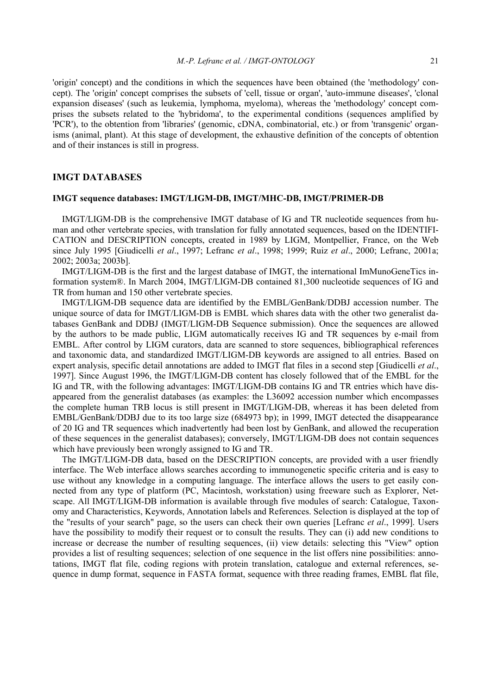'origin' concept) and the conditions in which the sequences have been obtained (the 'methodology' concept). The 'origin' concept comprises the subsets of 'cell, tissue or organ', 'auto-immune diseases', 'clonal expansion diseases' (such as leukemia, lymphoma, myeloma), whereas the 'methodology' concept comprises the subsets related to the 'hybridoma', to the experimental conditions (sequences amplified by 'PCR'), to the obtention from 'libraries' (genomic, cDNA, combinatorial, etc.) or from 'transgenic' organisms (animal, plant). At this stage of development, the exhaustive definition of the concepts of obtention and of their instances is still in progress.

# **IMGT DATABASES**

#### **IMGT sequence databases: IMGT/LIGM-DB, IMGT/MHC-DB, IMGT/PRIMER-DB**

IMGT/LIGM-DB is the comprehensive IMGT database of IG and TR nucleotide sequences from human and other vertebrate species, with translation for fully annotated sequences, based on the IDENTIFI-CATION and DESCRIPTION concepts, created in 1989 by LIGM, Montpellier, France, on the Web since July 1995 [Giudicelli *et al*., 1997; Lefranc *et al*., 1998; 1999; Ruiz *et al*., 2000; Lefranc, 2001a; 2002; 2003a; 2003b].

IMGT/LIGM-DB is the first and the largest database of IMGT, the international ImMunoGeneTics information system®. In March 2004, IMGT/LIGM-DB contained 81,300 nucleotide sequences of IG and TR from human and 150 other vertebrate species.

IMGT/LIGM-DB sequence data are identified by the EMBL/GenBank/DDBJ accession number. The unique source of data for IMGT/LIGM-DB is EMBL which shares data with the other two generalist databases GenBank and DDBJ (IMGT/LIGM-DB Sequence submission). Once the sequences are allowed by the authors to be made public, LIGM automatically receives IG and TR sequences by e-mail from EMBL. After control by LIGM curators, data are scanned to store sequences, bibliographical references and taxonomic data, and standardized IMGT/LIGM-DB keywords are assigned to all entries. Based on expert analysis, specific detail annotations are added to IMGT flat files in a second step [Giudicelli *et al*., 1997]. Since August 1996, the IMGT/LIGM-DB content has closely followed that of the EMBL for the IG and TR, with the following advantages: IMGT/LIGM-DB contains IG and TR entries which have disappeared from the generalist databases (as examples: the L36092 accession number which encompasses the complete human TRB locus is still present in IMGT/LIGM-DB, whereas it has been deleted from EMBL/GenBank/DDBJ due to its too large size (684973 bp); in 1999, IMGT detected the disappearance of 20 IG and TR sequences which inadvertently had been lost by GenBank, and allowed the recuperation of these sequences in the generalist databases); conversely, IMGT/LIGM-DB does not contain sequences which have previously been wrongly assigned to IG and TR.

The IMGT/LIGM-DB data, based on the DESCRIPTION concepts, are provided with a user friendly interface. The Web interface allows searches according to immunogenetic specific criteria and is easy to use without any knowledge in a computing language. The interface allows the users to get easily connected from any type of platform (PC, Macintosh, workstation) using freeware such as Explorer, Netscape. All IMGT/LIGM-DB information is available through five modules of search: Catalogue, Taxonomy and Characteristics, Keywords, Annotation labels and References. Selection is displayed at the top of the "results of your search" page, so the users can check their own queries [Lefranc *et al*., 1999]. Users have the possibility to modify their request or to consult the results. They can (i) add new conditions to increase or decrease the number of resulting sequences, (ii) view details: selecting this "View" option provides a list of resulting sequences; selection of one sequence in the list offers nine possibilities: annotations, IMGT flat file, coding regions with protein translation, catalogue and external references, sequence in dump format, sequence in FASTA format, sequence with three reading frames, EMBL flat file,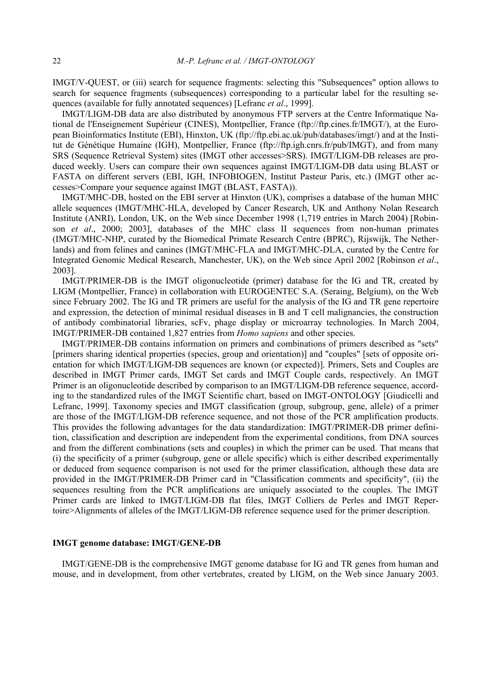IMGT/V-QUEST, or (iii) search for sequence fragments: selecting this "Subsequences" option allows to search for sequence fragments (subsequences) corresponding to a particular label for the resulting sequences (available for fully annotated sequences) [Lefranc *et al*., 1999].

IMGT/LIGM-DB data are also distributed by anonymous FTP servers at the Centre Informatique National de l'Enseignement Supérieur (CINES), Montpellier, France (ftp://ftp.cines.fr/IMGT/), at the European Bioinformatics Institute (EBI), Hinxton, UK (ftp://ftp.ebi.ac.uk/pub/databases/imgt/) and at the Institut de Génétique Humaine (IGH), Montpellier, France (ftp://ftp.igh.cnrs.fr/pub/IMGT), and from many SRS (Sequence Retrieval System) sites (IMGT other accesses>SRS). IMGT/LIGM-DB releases are produced weekly. Users can compare their own sequences against IMGT/LIGM-DB data using BLAST or FASTA on different servers (EBI, IGH, INFOBIOGEN, Institut Pasteur Paris, etc.) (IMGT other accesses>Compare your sequence against IMGT (BLAST, FASTA)).

IMGT/MHC-DB, hosted on the EBI server at Hinxton (UK), comprises a database of the human MHC allele sequences (IMGT/MHC-HLA, developed by Cancer Research, UK and Anthony Nolan Research Institute (ANRI), London, UK, on the Web since December 1998 (1,719 entries in March 2004) [Robinson *et al*., 2000; 2003], databases of the MHC class II sequences from non-human primates (IMGT/MHC-NHP, curated by the Biomedical Primate Research Centre (BPRC), Rijswijk, The Netherlands) and from felines and canines (IMGT/MHC-FLA and IMGT/MHC-DLA, curated by the Centre for Integrated Genomic Medical Research, Manchester, UK), on the Web since April 2002 [Robinson *et al*., 2003].

IMGT/PRIMER-DB is the IMGT oligonucleotide (primer) database for the IG and TR, created by LIGM (Montpellier, France) in collaboration with EUROGENTEC S.A. (Seraing, Belgium), on the Web since February 2002. The IG and TR primers are useful for the analysis of the IG and TR gene repertoire and expression, the detection of minimal residual diseases in B and T cell malignancies, the construction of antibody combinatorial libraries, scFv, phage display or microarray technologies. In March 2004, IMGT/PRIMER-DB contained 1,827 entries from *Homo sapiens* and other species.

IMGT/PRIMER-DB contains information on primers and combinations of primers described as "sets" [primers sharing identical properties (species, group and orientation)] and "couples" [sets of opposite orientation for which IMGT/LIGM-DB sequences are known (or expected)]. Primers, Sets and Couples are described in IMGT Primer cards, IMGT Set cards and IMGT Couple cards, respectively. An IMGT Primer is an oligonucleotide described by comparison to an IMGT/LIGM-DB reference sequence, according to the standardized rules of the IMGT Scientific chart, based on IMGT-ONTOLOGY [Giudicelli and Lefranc, 1999]. Taxonomy species and IMGT classification (group, subgroup, gene, allele) of a primer are those of the IMGT/LIGM-DB reference sequence, and not those of the PCR amplification products. This provides the following advantages for the data standardization: IMGT/PRIMER-DB primer definition, classification and description are independent from the experimental conditions, from DNA sources and from the different combinations (sets and couples) in which the primer can be used. That means that (i) the specificity of a primer (subgroup, gene or allele specific) which is either described experimentally or deduced from sequence comparison is not used for the primer classification, although these data are provided in the IMGT/PRIMER-DB Primer card in "Classification comments and specificity", (ii) the sequences resulting from the PCR amplifications are uniquely associated to the couples. The IMGT Primer cards are linked to IMGT/LIGM-DB flat files, IMGT Colliers de Perles and IMGT Repertoire>Alignments of alleles of the IMGT/LIGM-DB reference sequence used for the primer description.

#### **IMGT genome database: IMGT/GENE-DB**

IMGT/GENE-DB is the comprehensive IMGT genome database for IG and TR genes from human and mouse, and in development, from other vertebrates, created by LIGM, on the Web since January 2003.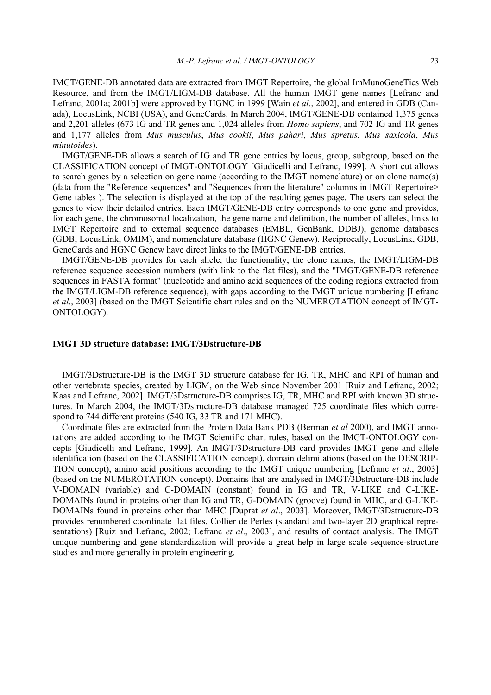IMGT/GENE-DB annotated data are extracted from IMGT Repertoire, the global ImMunoGeneTics Web Resource, and from the IMGT/LIGM-DB database. All the human IMGT gene names [Lefranc and Lefranc, 2001a; 2001b] were approved by HGNC in 1999 [Wain *et al*., 2002], and entered in GDB (Canada), LocusLink, NCBI (USA), and GeneCards. In March 2004, IMGT/GENE-DB contained 1,375 genes and 2,201 alleles (673 IG and TR genes and 1,024 alleles from *Homo sapiens*, and 702 IG and TR genes and 1,177 alleles from *Mus musculus*, *Mus cookii*, *Mus pahari*, *Mus spretus*, *Mus saxicola*, *Mus minutoides*).

IMGT/GENE-DB allows a search of IG and TR gene entries by locus, group, subgroup, based on the CLASSIFICATION concept of IMGT-ONTOLOGY [Giudicelli and Lefranc, 1999]. A short cut allows to search genes by a selection on gene name (according to the IMGT nomenclature) or on clone name(s) (data from the "Reference sequences" and "Sequences from the literature" columns in IMGT Repertoire> Gene tables ). The selection is displayed at the top of the resulting genes page. The users can select the genes to view their detailed entries. Each IMGT/GENE-DB entry corresponds to one gene and provides, for each gene, the chromosomal localization, the gene name and definition, the number of alleles, links to IMGT Repertoire and to external sequence databases (EMBL, GenBank, DDBJ), genome databases (GDB, LocusLink, OMIM), and nomenclature database (HGNC Genew). Reciprocally, LocusLink, GDB, GeneCards and HGNC Genew have direct links to the IMGT/GENE-DB entries.

IMGT/GENE-DB provides for each allele, the functionality, the clone names, the IMGT/LIGM-DB reference sequence accession numbers (with link to the flat files), and the "IMGT/GENE-DB reference sequences in FASTA format" (nucleotide and amino acid sequences of the coding regions extracted from the IMGT/LIGM-DB reference sequence), with gaps according to the IMGT unique numbering [Lefranc *et al*., 2003] (based on the IMGT Scientific chart rules and on the NUMEROTATION concept of IMGT-ONTOLOGY).

#### **IMGT 3D structure database: IMGT/3Dstructure-DB**

IMGT/3Dstructure-DB is the IMGT 3D structure database for IG, TR, MHC and RPI of human and other vertebrate species, created by LIGM, on the Web since November 2001 [Ruiz and Lefranc, 2002; Kaas and Lefranc, 2002]. IMGT/3Dstructure-DB comprises IG, TR, MHC and RPI with known 3D structures. In March 2004, the IMGT/3Dstructure-DB database managed 725 coordinate files which correspond to 744 different proteins (540 IG, 33 TR and 171 MHC).

Coordinate files are extracted from the Protein Data Bank PDB (Berman *et al* 2000), and IMGT annotations are added according to the IMGT Scientific chart rules, based on the IMGT-ONTOLOGY concepts [Giudicelli and Lefranc, 1999]. An IMGT/3Dstructure-DB card provides IMGT gene and allele identification (based on the CLASSIFICATION concept), domain delimitations (based on the DESCRIP-TION concept), amino acid positions according to the IMGT unique numbering [Lefranc *et al*., 2003] (based on the NUMEROTATION concept). Domains that are analysed in IMGT/3Dstructure-DB include V-DOMAIN (variable) and C-DOMAIN (constant) found in IG and TR, V-LIKE and C-LIKE-DOMAINs found in proteins other than IG and TR, G-DOMAIN (groove) found in MHC, and G-LIKE-DOMAINs found in proteins other than MHC [Duprat *et al*., 2003]. Moreover, IMGT/3Dstructure-DB provides renumbered coordinate flat files, Collier de Perles (standard and two-layer 2D graphical representations) [Ruiz and Lefranc, 2002; Lefranc *et al*., 2003], and results of contact analysis. The IMGT unique numbering and gene standardization will provide a great help in large scale sequence-structure studies and more generally in protein engineering.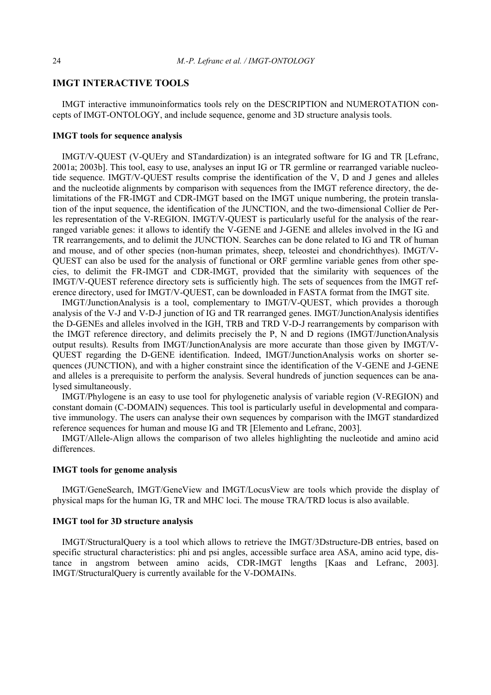# **IMGT INTERACTIVE TOOLS**

IMGT interactive immunoinformatics tools rely on the DESCRIPTION and NUMEROTATION concepts of IMGT-ONTOLOGY, and include sequence, genome and 3D structure analysis tools.

#### **IMGT tools for sequence analysis**

IMGT/V-QUEST (V-QUEry and STandardization) is an integrated software for IG and TR [Lefranc, 2001a; 2003b]. This tool, easy to use, analyses an input IG or TR germline or rearranged variable nucleotide sequence. IMGT/V-QUEST results comprise the identification of the V, D and J genes and alleles and the nucleotide alignments by comparison with sequences from the IMGT reference directory, the delimitations of the FR-IMGT and CDR-IMGT based on the IMGT unique numbering, the protein translation of the input sequence, the identification of the JUNCTION, and the two-dimensional Collier de Perles representation of the V-REGION. IMGT/V-QUEST is particularly useful for the analysis of the rearranged variable genes: it allows to identify the V-GENE and J-GENE and alleles involved in the IG and TR rearrangements, and to delimit the JUNCTION. Searches can be done related to IG and TR of human and mouse, and of other species (non-human primates, sheep, teleostei and chondrichthyes). IMGT/V-QUEST can also be used for the analysis of functional or ORF germline variable genes from other species, to delimit the FR-IMGT and CDR-IMGT, provided that the similarity with sequences of the IMGT/V-QUEST reference directory sets is sufficiently high. The sets of sequences from the IMGT reference directory, used for IMGT/V-QUEST, can be downloaded in FASTA format from the IMGT site.

IMGT/JunctionAnalysis is a tool, complementary to IMGT/V-QUEST, which provides a thorough analysis of the V-J and V-D-J junction of IG and TR rearranged genes. IMGT/JunctionAnalysis identifies the D-GENEs and alleles involved in the IGH, TRB and TRD V-D-J rearrangements by comparison with the IMGT reference directory, and delimits precisely the P, N and D regions (IMGT/JunctionAnalysis output results). Results from IMGT/JunctionAnalysis are more accurate than those given by IMGT/V-QUEST regarding the D-GENE identification. Indeed, IMGT/JunctionAnalysis works on shorter sequences (JUNCTION), and with a higher constraint since the identification of the V-GENE and J-GENE and alleles is a prerequisite to perform the analysis. Several hundreds of junction sequences can be analysed simultaneously.

IMGT/Phylogene is an easy to use tool for phylogenetic analysis of variable region (V-REGION) and constant domain (C-DOMAIN) sequences. This tool is particularly useful in developmental and comparative immunology. The users can analyse their own sequences by comparison with the IMGT standardized reference sequences for human and mouse IG and TR [Elemento and Lefranc, 2003].

IMGT/Allele-Align allows the comparison of two alleles highlighting the nucleotide and amino acid differences.

## **IMGT tools for genome analysis**

IMGT/GeneSearch, IMGT/GeneView and IMGT/LocusView are tools which provide the display of physical maps for the human IG, TR and MHC loci. The mouse TRA/TRD locus is also available.

#### **IMGT tool for 3D structure analysis**

IMGT/StructuralQuery is a tool which allows to retrieve the IMGT/3Dstructure-DB entries, based on specific structural characteristics: phi and psi angles, accessible surface area ASA, amino acid type, distance in angstrom between amino acids, CDR-IMGT lengths [Kaas and Lefranc, 2003]. IMGT/StructuralQuery is currently available for the V-DOMAINs.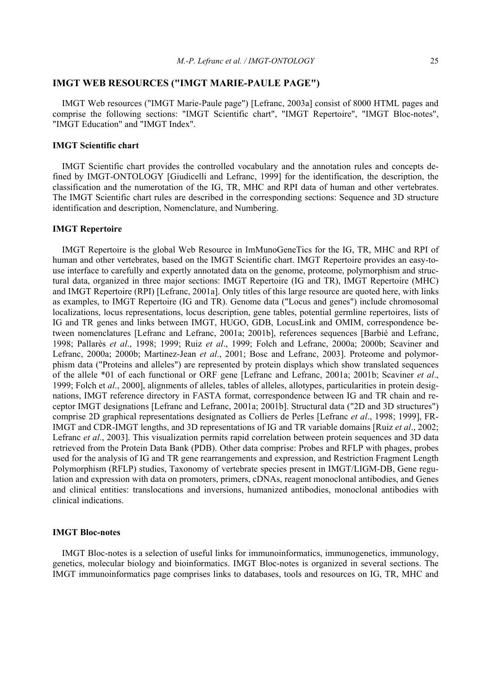# **IMGT WEB RESOURCES ("IMGT MARIE-PAULE PAGE")**

IMGT Web resources ("IMGT Marie-Paule page") [Lefranc, 2003a] consist of 8000 HTML pages and comprise the following sections: "IMGT Scientific chart", "IMGT Repertoire", "IMGT Bloc-notes", "IMGT Education" and "IMGT Index".

#### **IMGT Scientific chart**

IMGT Scientific chart provides the controlled vocabulary and the annotation rules and concepts defined by IMGT-ONTOLOGY [Giudicelli and Lefranc, 1999] for the identification, the description, the classification and the numerotation of the IG, TR, MHC and RPI data of human and other vertebrates. The IMGT Scientific chart rules are described in the corresponding sections: Sequence and 3D structure identification and description, Nomenclature, and Numbering.

## **IMGT Repertoire**

IMGT Repertoire is the global Web Resource in ImMunoGeneTics for the IG, TR, MHC and RPI of human and other vertebrates, based on the IMGT Scientific chart. IMGT Repertoire provides an easy-touse interface to carefully and expertly annotated data on the genome, proteome, polymorphism and structural data, organized in three major sections: IMGT Repertoire (IG and TR), IMGT Repertoire (MHC) and IMGT Repertoire (RPI) [Lefranc, 2001a]. Only titles of this large resource are quoted here, with links as examples, to IMGT Repertoire (IG and TR). Genome data ("Locus and genes") include chromosomal localizations, locus representations, locus description, gene tables, potential germline repertoires, lists of IG and TR genes and links between IMGT, HUGO, GDB, LocusLink and OMIM, correspondence between nomenclatures [Lefranc and Lefranc, 2001a; 2001b], references sequences [Barbié and Lefranc, 1998; Pallarès *et al*., 1998; 1999; Ruiz *et al*., 1999; Folch and Lefranc, 2000a; 2000b; Scaviner and Lefranc, 2000a; 2000b; Martinez-Jean *et al*., 2001; Bosc and Lefranc, 2003]. Proteome and polymorphism data ("Proteins and alleles") are represented by protein displays which show translated sequences of the allele \*01 of each functional or ORF gene [Lefranc and Lefranc, 2001a; 2001b; Scaviner *et al*., 1999; Folch et *al*., 2000], alignments of alleles, tables of alleles, allotypes, particularities in protein designations, IMGT reference directory in FASTA format, correspondence between IG and TR chain and receptor IMGT designations [Lefranc and Lefranc, 2001a; 2001b]. Structural data ("2D and 3D structures") comprise 2D graphical representations designated as Colliers de Perles [Lefranc *et al*., 1998; 1999], FR-IMGT and CDR-IMGT lengths, and 3D representations of IG and TR variable domains [Ruiz *et al*., 2002; Lefranc *et al*., 2003]. This visualization permits rapid correlation between protein sequences and 3D data retrieved from the Protein Data Bank (PDB). Other data comprise: Probes and RFLP with phages, probes used for the analysis of IG and TR gene rearrangements and expression, and Restriction Fragment Length Polymorphism (RFLP) studies, Taxonomy of vertebrate species present in IMGT/LIGM-DB, Gene regulation and expression with data on promoters, primers, cDNAs, reagent monoclonal antibodies, and Genes and clinical entities: translocations and inversions, humanized antibodies, monoclonal antibodies with clinical indications.

#### **IMGT Bloc-notes**

IMGT Bloc-notes is a selection of useful links for immunoinformatics, immunogenetics, immunology, genetics, molecular biology and bioinformatics. IMGT Bloc-notes is organized in several sections. The IMGT immunoinformatics page comprises links to databases, tools and resources on IG, TR, MHC and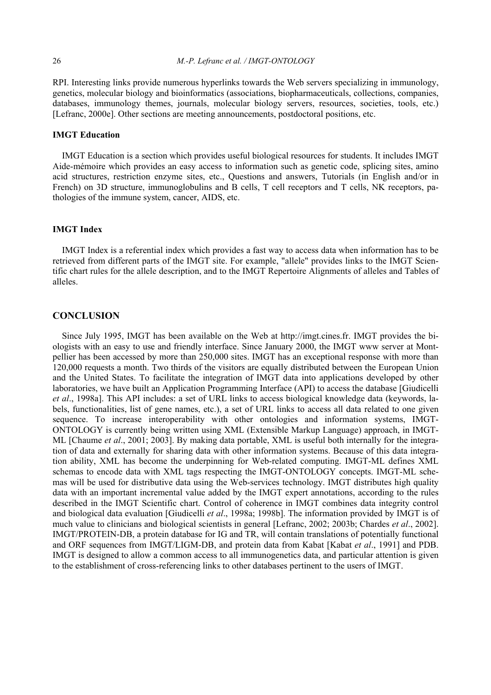RPI. Interesting links provide numerous hyperlinks towards the Web servers specializing in immunology, genetics, molecular biology and bioinformatics (associations, biopharmaceuticals, collections, companies, databases, immunology themes, journals, molecular biology servers, resources, societies, tools, etc.) [Lefranc, 2000e]. Other sections are meeting announcements, postdoctoral positions, etc.

## **IMGT Education**

IMGT Education is a section which provides useful biological resources for students. It includes IMGT Aide-mémoire which provides an easy access to information such as genetic code, splicing sites, amino acid structures, restriction enzyme sites, etc., Questions and answers, Tutorials (in English and/or in French) on 3D structure, immunoglobulins and B cells, T cell receptors and T cells, NK receptors, pathologies of the immune system, cancer, AIDS, etc.

## **IMGT Index**

IMGT Index is a referential index which provides a fast way to access data when information has to be retrieved from different parts of the IMGT site. For example, "allele" provides links to the IMGT Scientific chart rules for the allele description, and to the IMGT Repertoire Alignments of alleles and Tables of alleles.

# **CONCLUSION**

Since July 1995, IMGT has been available on the Web at http://imgt.cines.fr. IMGT provides the biologists with an easy to use and friendly interface. Since January 2000, the IMGT www server at Montpellier has been accessed by more than 250,000 sites. IMGT has an exceptional response with more than 120,000 requests a month. Two thirds of the visitors are equally distributed between the European Union and the United States. To facilitate the integration of IMGT data into applications developed by other laboratories, we have built an Application Programming Interface (API) to access the database [Giudicelli *et al*., 1998a]. This API includes: a set of URL links to access biological knowledge data (keywords, labels, functionalities, list of gene names, etc.), a set of URL links to access all data related to one given sequence. To increase interoperability with other ontologies and information systems, IMGT-ONTOLOGY is currently being written using XML (Extensible Markup Language) approach, in IMGT-ML [Chaume *et al*., 2001; 2003]. By making data portable, XML is useful both internally for the integration of data and externally for sharing data with other information systems. Because of this data integration ability, XML has become the underpinning for Web-related computing. IMGT-ML defines XML schemas to encode data with XML tags respecting the IMGT-ONTOLOGY concepts. IMGT-ML schemas will be used for distributive data using the Web-services technology. IMGT distributes high quality data with an important incremental value added by the IMGT expert annotations, according to the rules described in the IMGT Scientific chart. Control of coherence in IMGT combines data integrity control and biological data evaluation [Giudicelli *et al*., 1998a; 1998b]. The information provided by IMGT is of much value to clinicians and biological scientists in general [Lefranc, 2002; 2003b; Chardes *et al*., 2002]. IMGT/PROTEIN-DB, a protein database for IG and TR, will contain translations of potentially functional and ORF sequences from IMGT/LIGM-DB, and protein data from Kabat [Kabat *et al*., 1991] and PDB. IMGT is designed to allow a common access to all immunogenetics data, and particular attention is given to the establishment of cross-referencing links to other databases pertinent to the users of IMGT.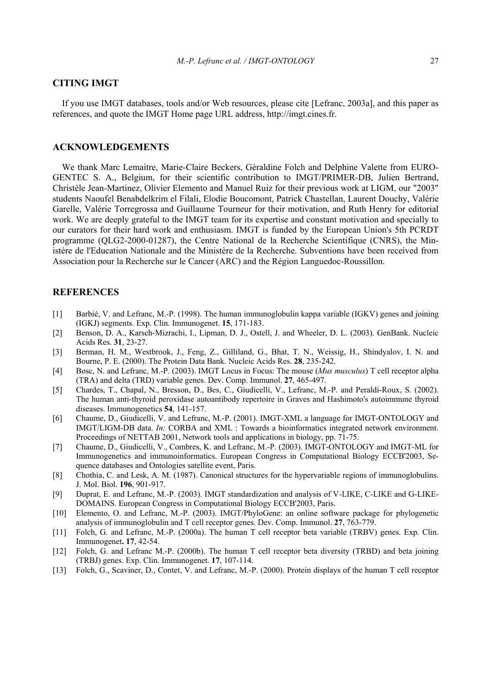## **CITING IMGT**

If you use IMGT databases, tools and/or Web resources, please cite [Lefranc, 2003a], and this paper as references, and quote the IMGT Home page URL address, http://imgt.cines.fr.

# **ACKNOWLEDGEMENTS**

We thank Marc Lemaitre, Marie-Claire Beckers, Géraldine Folch and Delphine Valette from EURO-GENTEC S. A., Belgium, for their scientific contribution to IMGT/PRIMER-DB, Julien Bertrand, Christèle Jean-Martinez, Olivier Elemento and Manuel Ruiz for their previous work at LIGM, our "2003" students Naoufel Benabdelkrim el Filali, Elodie Boucomont, Patrick Chastellan, Laurent Douchy, Valérie Garelle, Valérie Torregrossa and Guillaume Tourneur for their motivation, and Ruth Henry for editorial work. We are deeply grateful to the IMGT team for its expertise and constant motivation and specially to our curators for their hard work and enthusiasm. IMGT is funded by the European Union's 5th PCRDT programme (QLG2-2000-01287), the Centre National de la Recherche Scientifique (CNRS), the Ministère de l'Education Nationale and the Ministère de la Recherche. Subventions have been received from Association pour la Recherche sur le Cancer (ARC) and the Région Languedoc-Roussillon.

## **REFERENCES**

- [1] Barbié, V. and Lefranc, M.-P. (1998). The human immunoglobulin kappa variable (IGKV) genes and joining (IGKJ) segments. Exp. Clin. Immunogenet. **15**, 171-183.
- [2] Benson, D. A., Karsch-Mizrachi, I., Lipman, D. J., Ostell, J. and Wheeler, D. L. (2003). GenBank. Nucleic Acids Res. **31**, 23-27.
- [3] Berman, H. M., Westbrook, J., Feng, Z., Gilliland, G., Bhat, T. N., Weissig, H., Shindyalov, I. N. and Bourne, P. E. (2000). The Protein Data Bank. Nucleic Acids Res. **28**, 235-242.
- [4] Bosc, N. and Lefranc, M.-P. (2003). IMGT Locus in Focus: The mouse (*Mus musculus*) T cell receptor alpha (TRA) and delta (TRD) variable genes. Dev. Comp. Immunol. **27**, 465-497.
- [5] Chardes, T., Chapal, N., Bresson, D., Bes, C., Giudicelli, V., Lefranc, M.-P. and Peraldi-Roux, S. (2002). The human anti-thyroid peroxidase autoantibody repertoire in Graves and Hashimoto's autoimmune thyroid diseases. Immunogenetics **54**, 141-157.
- [6] Chaume, D., Giudicelli, V. and Lefranc, M.-P. (2001). IMGT-XML a language for IMGT-ONTOLOGY and IMGT/LIGM-DB data. *In:* CORBA and XML : Towards a bioinformatics integrated network environment. Proceedings of NETTAB 2001, Network tools and applications in biology, pp. 71-75.
- [7] Chaume, D., Giudicelli, V., Combres, K. and Lefranc, M.-P. (2003). IMGT-ONTOLOGY and IMGT-ML for Immunogenetics and immunoinformatics. European Congress in Computational Biology ECCB'2003, Sequence databases and Ontologies satellite event, Paris.
- [8] Chothia, C. and Lesk, A. M. (1987). Canonical structures for the hypervariable regions of immunoglobulins. J. Mol. Biol. **196**, 901-917.
- [9] Duprat, E. and Lefranc, M.-P. (2003). IMGT standardization and analysis of V-LIKE, C-LIKE and G-LIKE-DOMAINS. European Congress in Computational Biology ECCB'2003, Paris.
- [10] Elemento, O. and Lefranc, M.-P. (2003). IMGT/PhyloGene: an online software package for phylogenetic analysis of immunoglobulin and T cell receptor genes. Dev. Comp. Immunol. **27**, 763-779.
- [11] Folch, G. and Lefranc, M.-P. (2000a). The human T cell receptor beta variable (TRBV) genes. Exp. Clin. Immunogenet**. 17**, 42-54.
- [12] Folch, G. and Lefranc M.-P. (2000b). The human T cell receptor beta diversity (TRBD) and beta joining (TRBJ) genes. Exp. Clin. Immunogenet. **17**, 107-114.
- [13] Folch, G., Scaviner, D., Contet, V. and Lefranc, M.-P. (2000). Protein displays of the human T cell receptor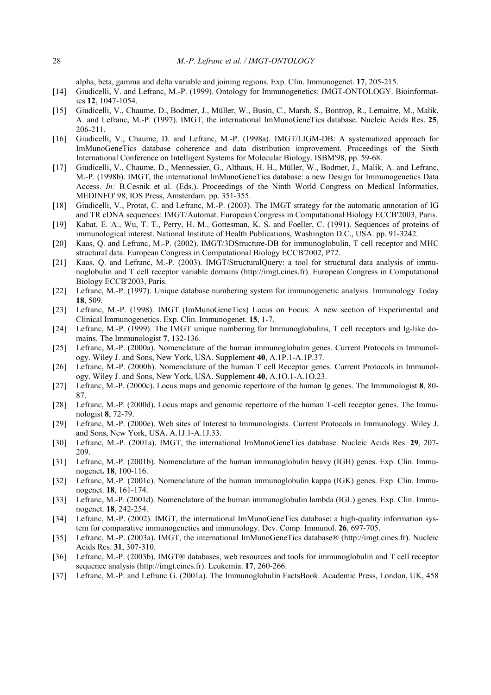alpha, beta, gamma and delta variable and joining regions. Exp. Clin. Immunogenet. **17**, 205-215.

- [14] Giudicelli, V. and Lefranc, M.-P. (1999). Ontology for Immunogenetics: IMGT-ONTOLOGY. Bioinformatics **12**, 1047-1054.
- [15] Giudicelli, V., Chaume, D., Bodmer, J., Müller, W., Busin, C., Marsh, S., Bontrop, R., Lemaitre, M., Malik, A. and Lefranc, M.-P. (1997). IMGT, the international ImMunoGeneTics database. Nucleic Acids Res. **25**, 206-211.
- [16] Giudicelli, V., Chaume, D. and Lefranc, M.-P. (1998a). IMGT/LIGM-DB: A systematized approach for ImMunoGeneTics database coherence and data distribution improvement. Proceedings of the Sixth International Conference on Intelligent Systems for Molecular Biology. ISBM'98, pp. 59-68.
- [17] Giudicelli, V., Chaume, D., Mennessier, G., Althaus, H. H., Müller, W., Bodmer, J., Malik, A. and Lefranc, M.-P. (1998b). IMGT, the international ImMunoGeneTics database: a new Design for Immunogenetics Data Access. *In:* B.Cesnik et al. (Eds.). Proceedings of the Ninth World Congress on Medical Informatics, MEDINFO' 98, IOS Press, Amsterdam. pp. 351-355.
- [18] Giudicelli, V., Protat, C. and Lefranc, M.-P. (2003). The IMGT strategy for the automatic annotation of IG and TR cDNA sequences: IMGT/Automat. European Congress in Computational Biology ECCB'2003, Paris.
- [19] Kabat, E. A., Wu, T. T., Perry, H. M., Gottesman, K. S. and Foeller, C. (1991). Sequences of proteins of immunological interest. National Institute of Health Publications, Washington D.C., USA. pp. 91-3242.
- [20] Kaas, Q. and Lefranc, M.-P. (2002). IMGT/3DStructure-DB for immunoglobulin, T cell receptor and MHC structural data. European Congress in Computational Biology ECCB'2002, P72.
- [21] Kaas, Q. and Lefranc, M.-P. (2003). IMGT/StructuralQuery: a tool for structural data analysis of immunoglobulin and T cell receptor variable domains (http://imgt.cines.fr). European Congress in Computational Biology ECCB'2003, Paris.
- [22] Lefranc, M.-P. (1997). Unique database numbering system for immunogenetic analysis. Immunology Today **18**, 509.
- [23] Lefranc, M.-P. (1998). IMGT (ImMunoGeneTics) Locus on Focus. A new section of Experimental and Clinical Immunogenetics. Exp. Clin. Immunogenet. **15**, 1-7.
- [24] Lefranc, M.-P. (1999). The IMGT unique numbering for Immunoglobulins, T cell receptors and Ig-like domains. The Immunologist **7**, 132-136.
- [25] Lefranc, M.-P. (2000a). Nomenclature of the human immunoglobulin genes. Current Protocols in Immunology. Wiley J. and Sons, New York, USA. Supplement **40**, A.1P.1-A.1P.37.
- [26] Lefranc, M.-P. (2000b). Nomenclature of the human T cell Receptor genes. Current Protocols in Immunology. Wiley J. and Sons, New York, USA. Supplement **40**, A.1O.1-A.1O.23.
- [27] Lefranc, M.-P. (2000c). Locus maps and genomic repertoire of the human Ig genes. The Immunologist **8**, 80- 87.
- [28] Lefranc, M.-P. (2000d). Locus maps and genomic repertoire of the human T-cell receptor genes. The Immunologist **8**, 72-79.
- [29] Lefranc, M.-P. (2000e). Web sites of Interest to Immunologists. Current Protocols in Immunology. Wiley J. and Sons, New York, USA. A.1J.1-A.1J.33.
- [30] Lefranc, M.-P. (2001a). IMGT, the international ImMunoGeneTics database. Nucleic Acids Res. **29**, 207- 209.
- [31] Lefranc, M.-P. (2001b). Nomenclature of the human immunoglobulin heavy (IGH) genes. Exp. Clin. Immunogenet**. 18**, 100-116.
- [32] Lefranc, M.-P. (2001c). Nomenclature of the human immunoglobulin kappa (IGK) genes. Exp. Clin. Immunogenet. **18**, 161-174.
- [33] Lefranc, M.-P. (2001d). Nomenclature of the human immunoglobulin lambda (IGL) genes. Exp. Clin. Immunogenet. **18**, 242-254.
- [34] Lefranc, M.-P. (2002). IMGT, the international ImMunoGeneTics database: a high-quality information system for comparative immunogenetics and immunology. Dev. Comp. Immunol. **26**, 697-705.
- [35] Lefranc, M.-P. (2003a). IMGT, the international ImMunoGeneTics database® (http://imgt.cines.fr). Nucleic Acids Res. **31**, 307-310.
- [36] Lefranc, M.-P. (2003b). IMGT® databases, web resources and tools for immunoglobulin and T cell receptor sequence analysis (http://imgt.cines.fr). Leukemia. **17**, 260-266.
- [37] Lefranc, M.-P. and Lefranc G. (2001a). The Immunoglobulin FactsBook. Academic Press, London, UK, 458